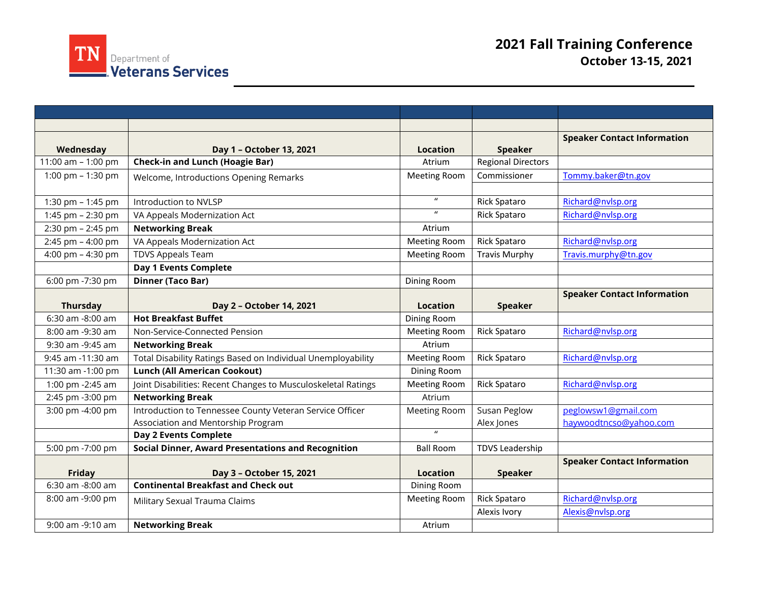

|                    |                                                               |                     |                           | <b>Speaker Contact Information</b> |
|--------------------|---------------------------------------------------------------|---------------------|---------------------------|------------------------------------|
| Wednesday          | Day 1 - October 13, 2021                                      | <b>Location</b>     | <b>Speaker</b>            |                                    |
| 11:00 am - 1:00 pm | <b>Check-in and Lunch (Hoagie Bar)</b>                        | Atrium              | <b>Regional Directors</b> |                                    |
| 1:00 pm - 1:30 pm  | Welcome, Introductions Opening Remarks                        | <b>Meeting Room</b> | Commissioner              | Tommy.baker@tn.gov                 |
|                    |                                                               |                     |                           |                                    |
| 1:30 pm - 1:45 pm  | Introduction to NVLSP                                         | $\boldsymbol{u}$    | <b>Rick Spataro</b>       | Richard@nvlsp.org                  |
| 1:45 pm - 2:30 pm  | VA Appeals Modernization Act                                  | $\boldsymbol{u}$    | <b>Rick Spataro</b>       | Richard@nvlsp.org                  |
| 2:30 pm - 2:45 pm  | <b>Networking Break</b>                                       | Atrium              |                           |                                    |
| 2:45 pm - 4:00 pm  | VA Appeals Modernization Act                                  | <b>Meeting Room</b> | <b>Rick Spataro</b>       | Richard@nvlsp.org                  |
| 4:00 pm - 4:30 pm  | <b>TDVS Appeals Team</b>                                      | <b>Meeting Room</b> | <b>Travis Murphy</b>      | Travis.murphy@tn.gov               |
|                    | <b>Day 1 Events Complete</b>                                  |                     |                           |                                    |
| 6:00 pm -7:30 pm   | <b>Dinner (Taco Bar)</b>                                      | Dining Room         |                           |                                    |
|                    |                                                               |                     |                           | <b>Speaker Contact Information</b> |
| <b>Thursday</b>    | Day 2 - October 14, 2021                                      | <b>Location</b>     | <b>Speaker</b>            |                                    |
| 6:30 am -8:00 am   | <b>Hot Breakfast Buffet</b>                                   | Dining Room         |                           |                                    |
| 8:00 am -9:30 am   | Non-Service-Connected Pension                                 | <b>Meeting Room</b> | <b>Rick Spataro</b>       | Richard@nvlsp.org                  |
| 9:30 am -9:45 am   | <b>Networking Break</b>                                       | Atrium              |                           |                                    |
| 9:45 am -11:30 am  | Total Disability Ratings Based on Individual Unemployability  | <b>Meeting Room</b> | <b>Rick Spataro</b>       | Richard@nvlsp.org                  |
| 11:30 am -1:00 pm  | <b>Lunch (All American Cookout)</b>                           | Dining Room         |                           |                                    |
| 1:00 pm -2:45 am   | Joint Disabilities: Recent Changes to Musculoskeletal Ratings | <b>Meeting Room</b> | <b>Rick Spataro</b>       | Richard@nvlsp.org                  |
| 2:45 pm -3:00 pm   | <b>Networking Break</b>                                       | Atrium              |                           |                                    |
| 3:00 pm -4:00 pm   | Introduction to Tennessee County Veteran Service Officer      | Meeting Room        | Susan Peglow              | peglowsw1@gmail.com                |
|                    | Association and Mentorship Program                            |                     | Alex Jones                | haywoodtncso@yahoo.com             |
|                    | <b>Day 2 Events Complete</b>                                  | $\overline{u}$      |                           |                                    |
| 5:00 pm -7:00 pm   | <b>Social Dinner, Award Presentations and Recognition</b>     | <b>Ball Room</b>    | <b>TDVS Leadership</b>    |                                    |
|                    |                                                               |                     |                           | <b>Speaker Contact Information</b> |
| Friday             | Day 3 - October 15, 2021                                      | <b>Location</b>     | <b>Speaker</b>            |                                    |
| 6:30 am -8:00 am   | <b>Continental Breakfast and Check out</b>                    | Dining Room         |                           |                                    |
| 8:00 am -9:00 pm   | Military Sexual Trauma Claims                                 | <b>Meeting Room</b> | Rick Spataro              | Richard@nvlsp.org                  |
|                    |                                                               |                     | Alexis Ivory              | Alexis@nvlsp.org                   |
| 9:00 am -9:10 am   | <b>Networking Break</b>                                       | Atrium              |                           |                                    |